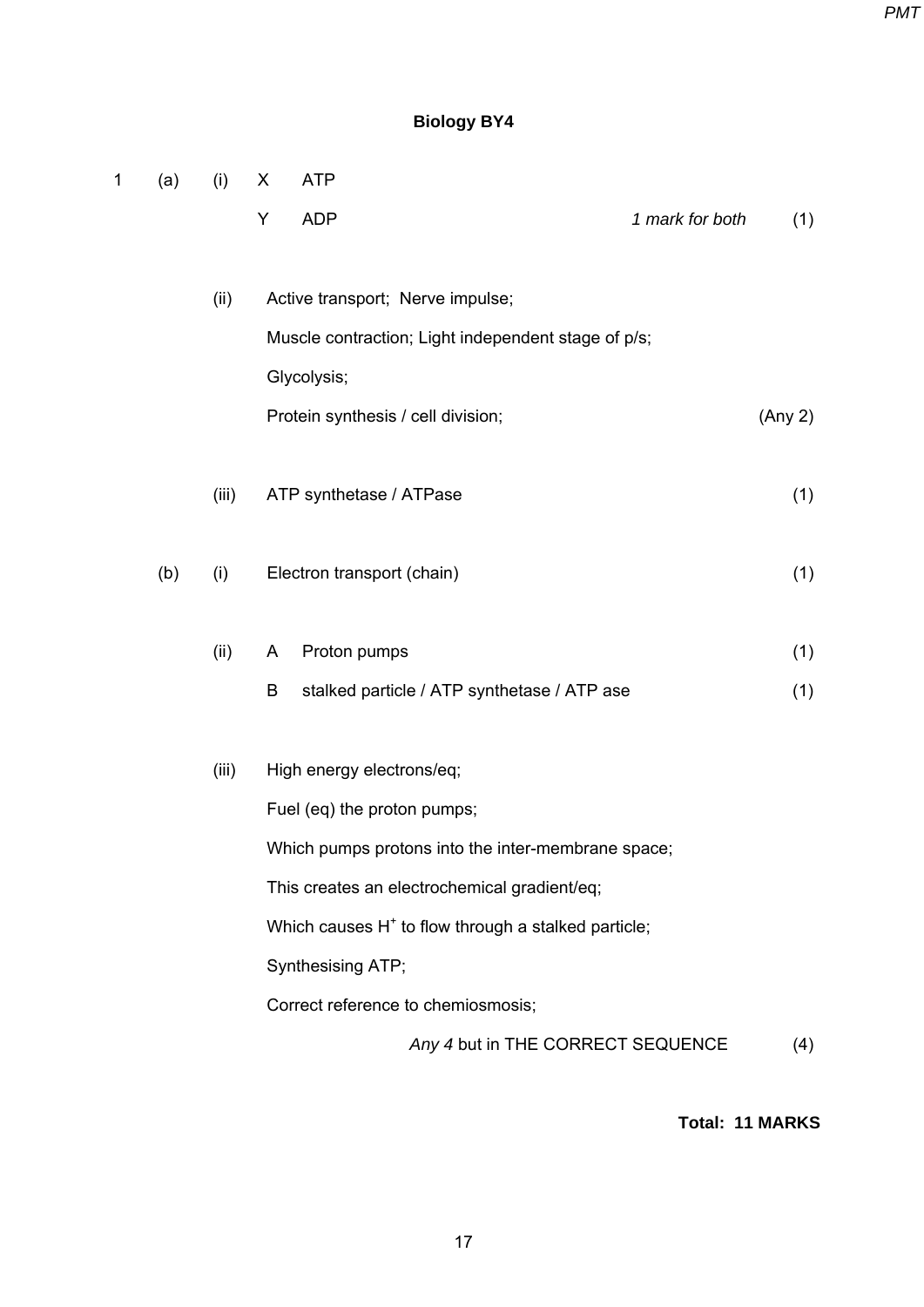*PMT*

# **Biology BY4**

| 1 | (a) | (i)   | X | <b>ATP</b>                                                      |                 |         |
|---|-----|-------|---|-----------------------------------------------------------------|-----------------|---------|
|   |     |       | Υ | <b>ADP</b>                                                      | 1 mark for both | (1)     |
|   |     |       |   |                                                                 |                 |         |
|   |     | (ii)  |   | Active transport; Nerve impulse;                                |                 |         |
|   |     |       |   | Muscle contraction; Light independent stage of p/s;             |                 |         |
|   |     |       |   | Glycolysis;                                                     |                 |         |
|   |     |       |   | Protein synthesis / cell division;                              |                 | (Any 2) |
|   |     |       |   |                                                                 |                 |         |
|   |     | (iii) |   | ATP synthetase / ATPase                                         |                 | (1)     |
|   | (b) | (i)   |   | Electron transport (chain)                                      |                 | (1)     |
|   |     |       |   |                                                                 |                 |         |
|   |     | (ii)  | A | Proton pumps                                                    |                 | (1)     |
|   |     |       | B | stalked particle / ATP synthetase / ATP ase                     |                 | (1)     |
|   |     |       |   |                                                                 |                 |         |
|   |     | (iii) |   | High energy electrons/eq;                                       |                 |         |
|   |     |       |   | Fuel (eq) the proton pumps;                                     |                 |         |
|   |     |       |   | Which pumps protons into the inter-membrane space;              |                 |         |
|   |     |       |   | This creates an electrochemical gradient/eq;                    |                 |         |
|   |     |       |   | Which causes H <sup>+</sup> to flow through a stalked particle; |                 |         |
|   |     |       |   | Synthesising ATP;                                               |                 |         |
|   |     |       |   | Correct reference to chemiosmosis;                              |                 |         |
|   |     |       |   | Any 4 but in THE CORRECT SEQUENCE                               |                 | (4)     |

**Total: 11 MARKS**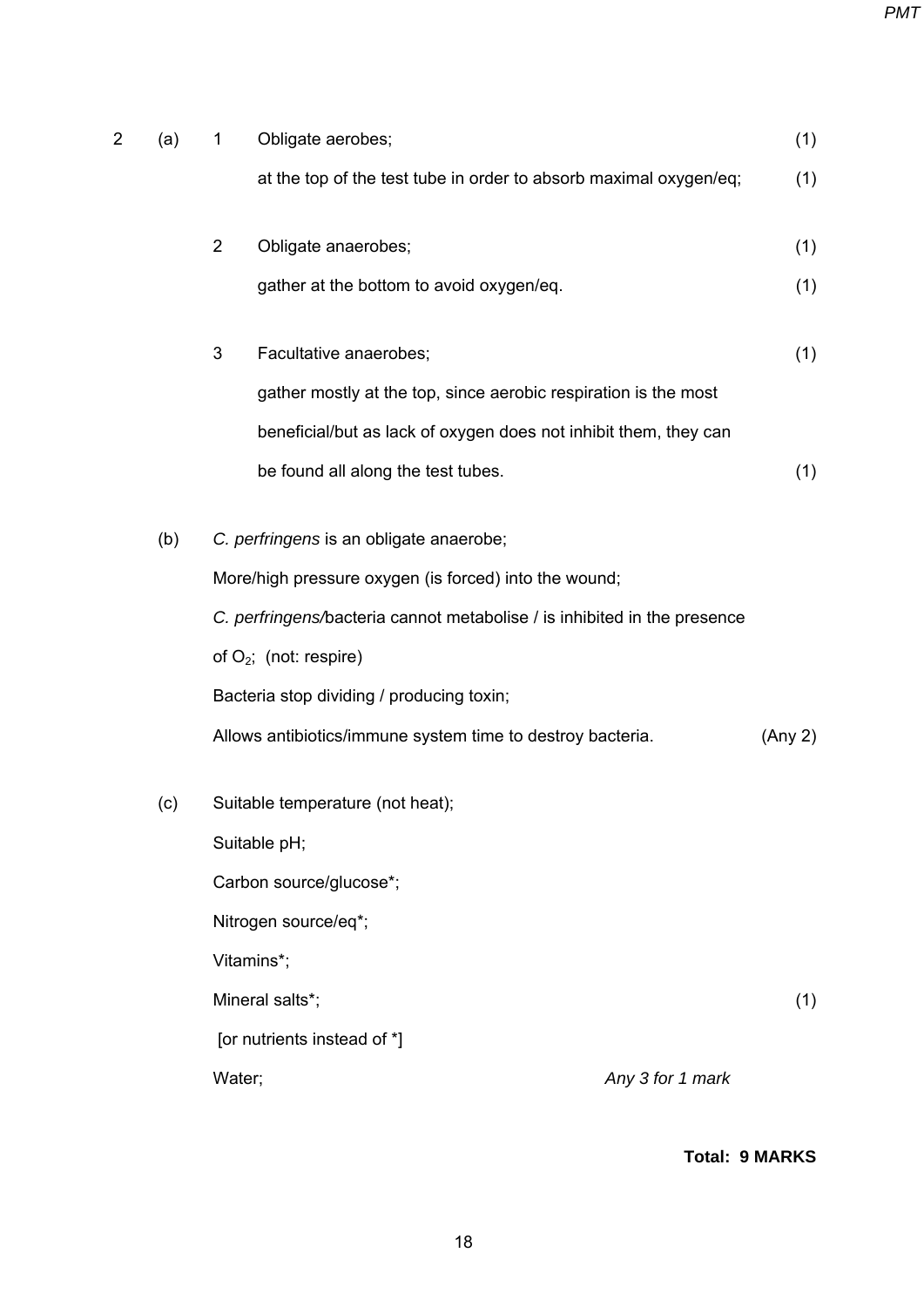| 2 | (a) | 1              | Obligate aerobes;                                                        |                  | (1)     |
|---|-----|----------------|--------------------------------------------------------------------------|------------------|---------|
|   |     |                | at the top of the test tube in order to absorb maximal oxygen/eq;        |                  | (1)     |
|   |     | $\overline{2}$ | Obligate anaerobes;                                                      |                  | (1)     |
|   |     |                | gather at the bottom to avoid oxygen/eq.                                 |                  | (1)     |
|   |     | 3              | Facultative anaerobes;                                                   |                  | (1)     |
|   |     |                | gather mostly at the top, since aerobic respiration is the most          |                  |         |
|   |     |                | beneficial/but as lack of oxygen does not inhibit them, they can         |                  |         |
|   |     |                | be found all along the test tubes.                                       |                  | (1)     |
|   | (b) |                | C. perfringens is an obligate anaerobe;                                  |                  |         |
|   |     |                | More/high pressure oxygen (is forced) into the wound;                    |                  |         |
|   |     |                | C. perfringens/bacteria cannot metabolise / is inhibited in the presence |                  |         |
|   |     |                | of $O_2$ ; (not: respire)                                                |                  |         |
|   |     |                | Bacteria stop dividing / producing toxin;                                |                  |         |
|   |     |                | Allows antibiotics/immune system time to destroy bacteria.               |                  | (Any 2) |
|   | (c) |                | Suitable temperature (not heat);                                         |                  |         |
|   |     |                | Suitable pH;                                                             |                  |         |
|   |     |                | Carbon source/glucose*;                                                  |                  |         |
|   |     |                | Nitrogen source/eq*;                                                     |                  |         |
|   |     |                | Vitamins*;                                                               |                  |         |
|   |     |                | Mineral salts*;                                                          |                  | (1)     |
|   |     |                | [or nutrients instead of *]                                              |                  |         |
|   |     | Water;         |                                                                          | Any 3 for 1 mark |         |
|   |     |                |                                                                          |                  |         |

# **Total: 9 MARKS**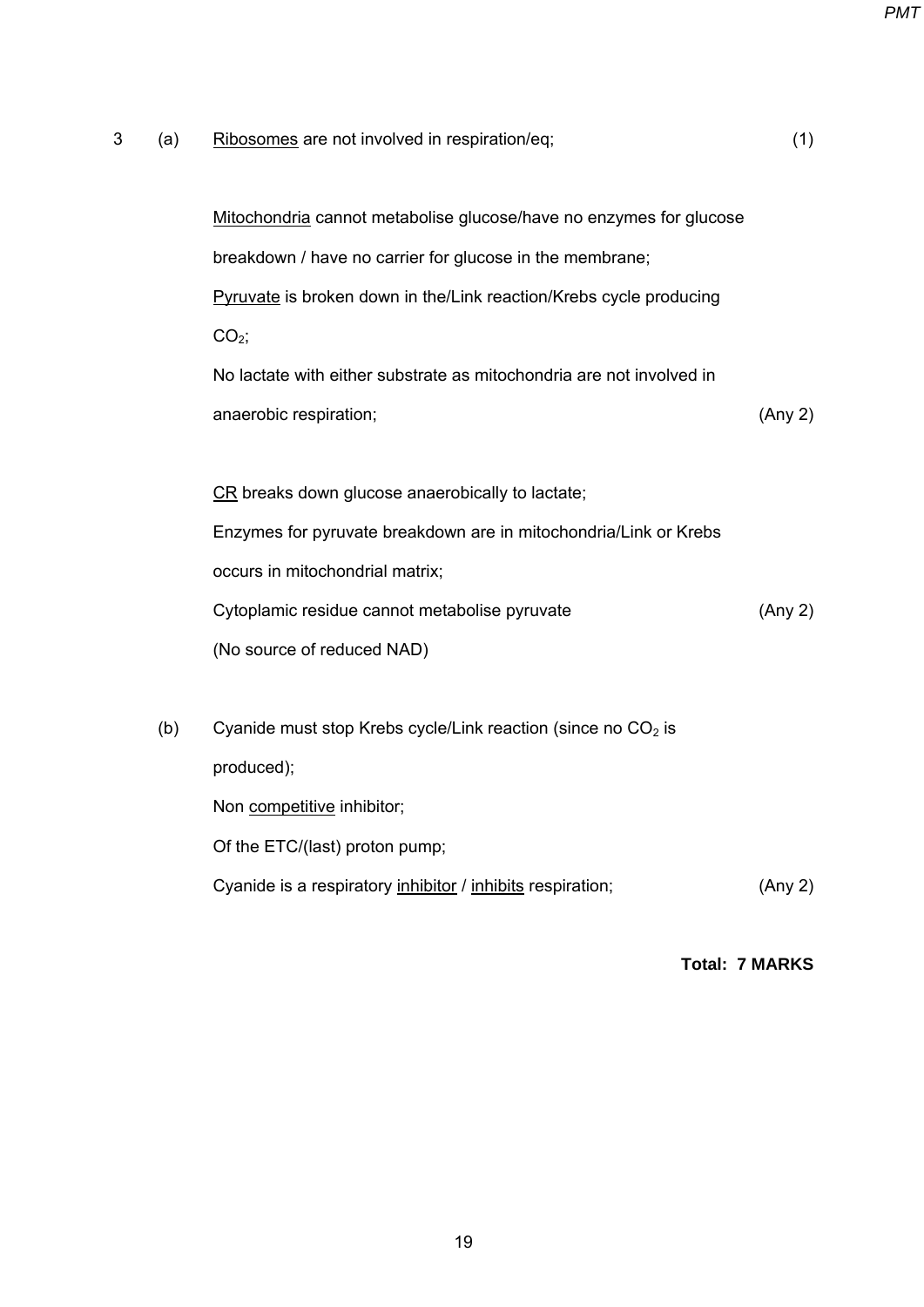*PMT*

| 3 | (a) | Ribosomes are not involved in respiration/eq;                        | (1)     |
|---|-----|----------------------------------------------------------------------|---------|
|   |     | Mitochondria cannot metabolise glucose/have no enzymes for glucose   |         |
|   |     | breakdown / have no carrier for glucose in the membrane;             |         |
|   |     | Pyruvate is broken down in the/Link reaction/Krebs cycle producing   |         |
|   |     | $CO2$ ;                                                              |         |
|   |     | No lactate with either substrate as mitochondria are not involved in |         |
|   |     | anaerobic respiration;                                               | (Any 2) |
|   |     |                                                                      |         |
|   |     | CR breaks down glucose anaerobically to lactate;                     |         |
|   |     | Enzymes for pyruvate breakdown are in mitochondria/Link or Krebs     |         |
|   |     | occurs in mitochondrial matrix;                                      |         |
|   |     | Cytoplamic residue cannot metabolise pyruvate                        | (Any 2) |
|   |     | (No source of reduced NAD)                                           |         |
|   |     |                                                                      |         |
|   | (b) | Cyanide must stop Krebs cycle/Link reaction (since no $CO2$ is       |         |
|   |     | produced);                                                           |         |
|   |     | Non competitive inhibitor;                                           |         |
|   |     | Of the ETC/(last) proton pump;                                       |         |
|   |     | Cyanide is a respiratory inhibitor / inhibits respiration;           | (Any 2) |
|   |     |                                                                      |         |

**Total: 7 MARKS**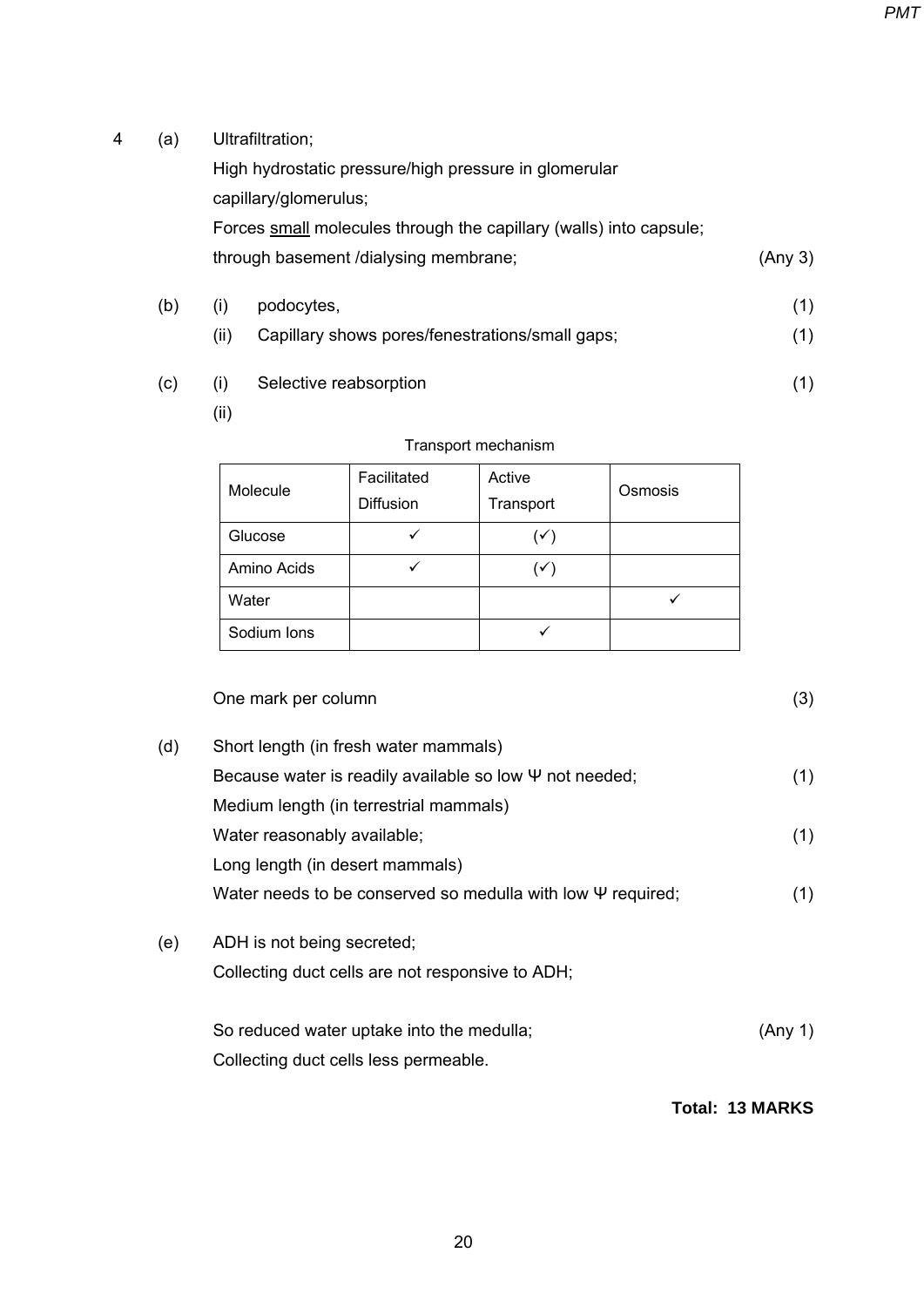4 (a) Ultrafiltration;

High hydrostatic pressure/high pressure in glomerular capillary/glomerulus; Forces small molecules through the capillary (walls) into capsule; through basement /dialysing membrane; (Any 3)

- (b) (i) podocytes, (1)
	- (ii) Capillary shows pores/fenestrations/small gaps; (1)
- (c) (i) Selective reabsorption (1)
	- (ii)

| Molecule    | Facilitated<br><b>Diffusion</b> | Active<br>Transport | Osmosis |
|-------------|---------------------------------|---------------------|---------|
| Glucose     |                                 | $(\checkmark)$      |         |
| Amino Acids |                                 | $(\checkmark)$      |         |
| Water       |                                 |                     |         |
| Sodium Ions |                                 |                     |         |

## Transport mechanism

# One mark per column (3)

- (d) Short length (in fresh water mammals) Because water is readily available so low  $\Psi$  not needed;  $(1)$  Medium length (in terrestrial mammals) Water reasonably available; (1) Long length (in desert mammals) Water needs to be conserved so medulla with low Ψ required; (1) (e) ADH is not being secreted;
	- Collecting duct cells are not responsive to ADH;

| So reduced water uptake into the medulla; | (Any 1) |
|-------------------------------------------|---------|
| Collecting duct cells less permeable.     |         |

**Total: 13 MARKS**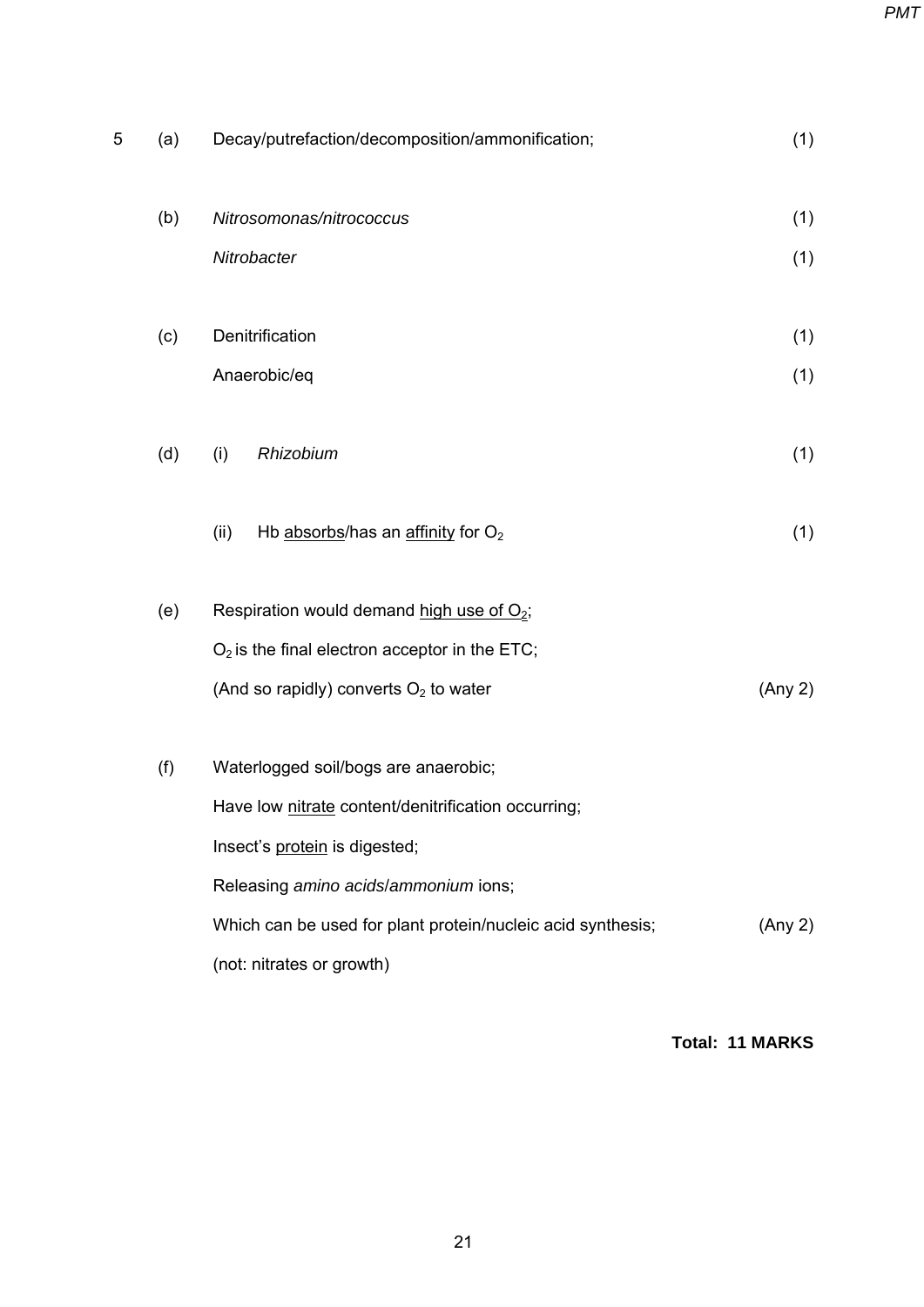*PMT*

| 5 | (a) | Decay/putrefaction/decomposition/ammonification;                                           | (1)     |
|---|-----|--------------------------------------------------------------------------------------------|---------|
|   | (b) | Nitrosomonas/nitrococcus                                                                   | (1)     |
|   |     | Nitrobacter                                                                                | (1)     |
|   | (c) | Denitrification                                                                            | (1)     |
|   |     | Anaerobic/eq                                                                               | (1)     |
|   | (d) | Rhizobium<br>(i)                                                                           | (1)     |
|   |     | Hb absorbs/has an affinity for O <sub>2</sub><br>(ii)                                      | (1)     |
|   | (e) | Respiration would demand high use of $O_2$ ;                                               |         |
|   |     | $O2$ is the final electron acceptor in the ETC;<br>(And so rapidly) converts $O2$ to water | (Any 2) |
|   | (f) | Waterlogged soil/bogs are anaerobic;                                                       |         |
|   |     | Have low nitrate content/denitrification occurring;                                        |         |
|   |     | Insect's protein is digested;                                                              |         |
|   |     | Releasing amino acids/ammonium ions;                                                       |         |
|   |     | Which can be used for plant protein/nucleic acid synthesis;<br>(not: nitrates or growth)   | (Any 2) |

**Total: 11 MARKS**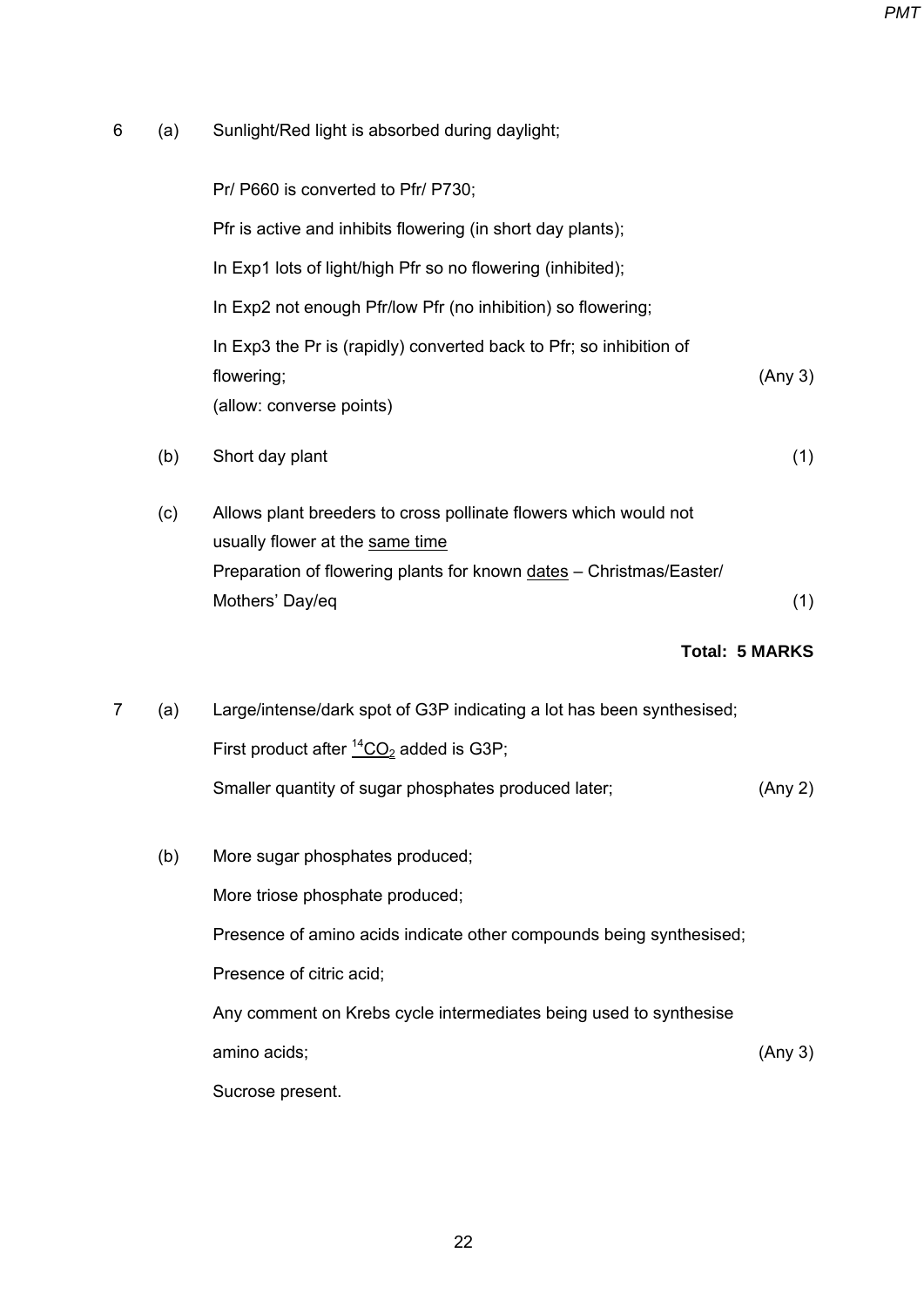6 (a) Sunlight/Red light is absorbed during daylight;

Pr/ P660 is converted to Pfr/ P730; Pfr is active and inhibits flowering (in short day plants); In Exp1 lots of light/high Pfr so no flowering (inhibited); In Exp2 not enough Pfr/low Pfr (no inhibition) so flowering; In Exp3 the Pr is (rapidly) converted back to Pfr; so inhibition of flowering; (allow: converse points) (Any 3)

- (b) Short day plant (1)
- (c) Allows plant breeders to cross pollinate flowers which would not usually flower at the same time Preparation of flowering plants for known dates – Christmas/Easter/ Mothers' Day/eq (1)

#### **Total: 5 MARKS**

- 7 (a) Large/intense/dark spot of G3P indicating a lot has been synthesised; First product after  ${}^{14}CO_2$  added is G3P; Smaller quantity of sugar phosphates produced later; (Any 2)
	- (b) More sugar phosphates produced; More triose phosphate produced; Presence of amino acids indicate other compounds being synthesised; Presence of citric acid; Any comment on Krebs cycle intermediates being used to synthesise amino acids; Sucrose present. (Any 3)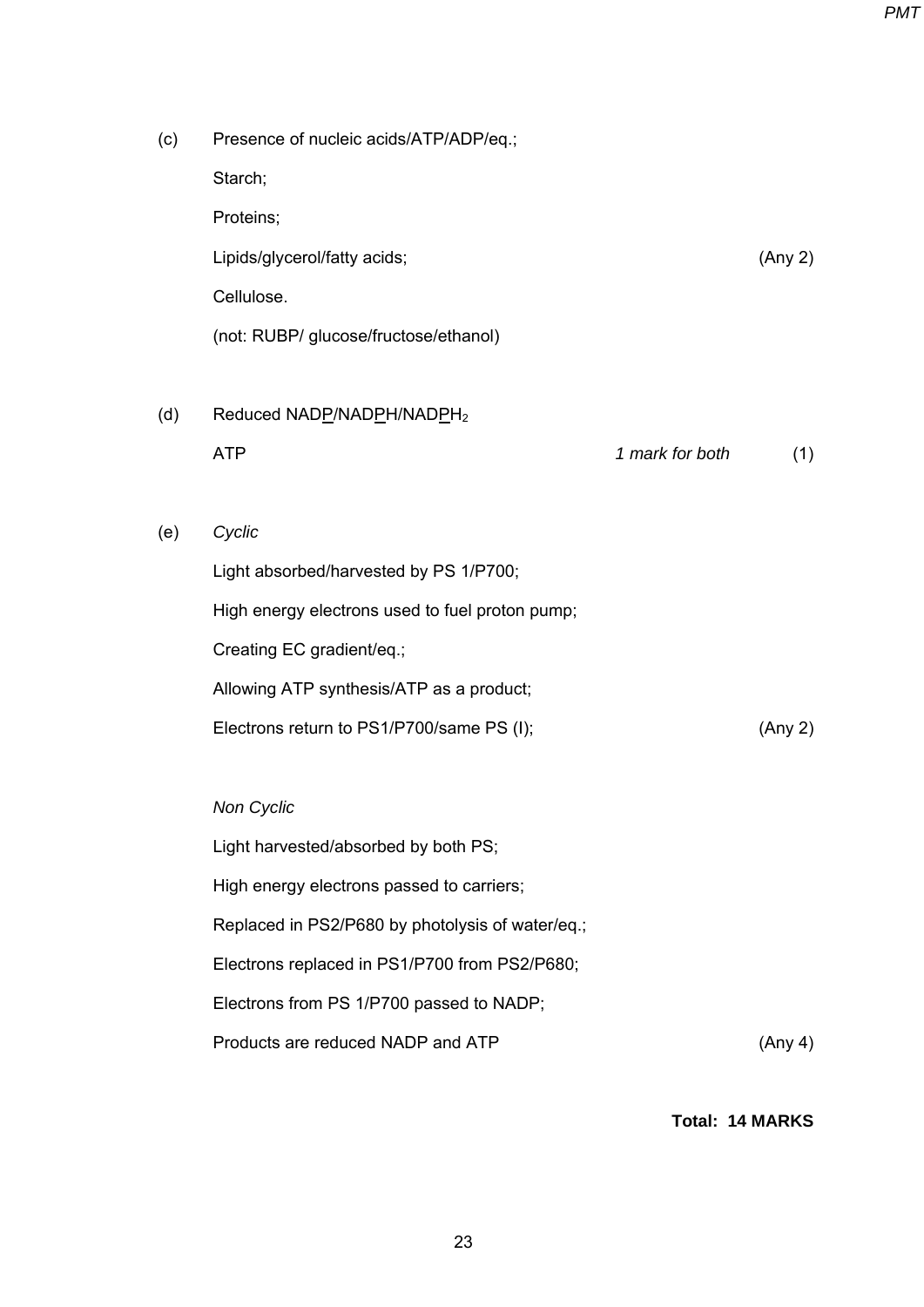| (c) | Presence of nucleic acids/ATP/ADP/eq.;           |                 |         |
|-----|--------------------------------------------------|-----------------|---------|
|     | Starch;                                          |                 |         |
|     | Proteins;                                        |                 |         |
|     | Lipids/glycerol/fatty acids;                     |                 | (Any 2) |
|     | Cellulose.                                       |                 |         |
|     | (not: RUBP/ glucose/fructose/ethanol)            |                 |         |
|     |                                                  |                 |         |
| (d) | Reduced NADP/NADPH/NADPH <sub>2</sub>            |                 |         |
|     | <b>ATP</b>                                       | 1 mark for both | (1)     |
|     |                                                  |                 |         |
| (e) | Cyclic                                           |                 |         |
|     | Light absorbed/harvested by PS 1/P700;           |                 |         |
|     | High energy electrons used to fuel proton pump;  |                 |         |
|     | Creating EC gradient/eq.;                        |                 |         |
|     | Allowing ATP synthesis/ATP as a product;         |                 |         |
|     | Electrons return to PS1/P700/same PS (I);        |                 | (Any 2) |
|     |                                                  |                 |         |
|     | <b>Non Cyclic</b>                                |                 |         |
|     | Light harvested/absorbed by both PS;             |                 |         |
|     | High energy electrons passed to carriers;        |                 |         |
|     | Replaced in PS2/P680 by photolysis of water/eq.; |                 |         |
|     | Electrons replaced in PS1/P700 from PS2/P680;    |                 |         |
|     | Electrons from PS 1/P700 passed to NADP;         |                 |         |

Products are reduced NADP and ATP (Any 4)

**Total: 14 MARKS**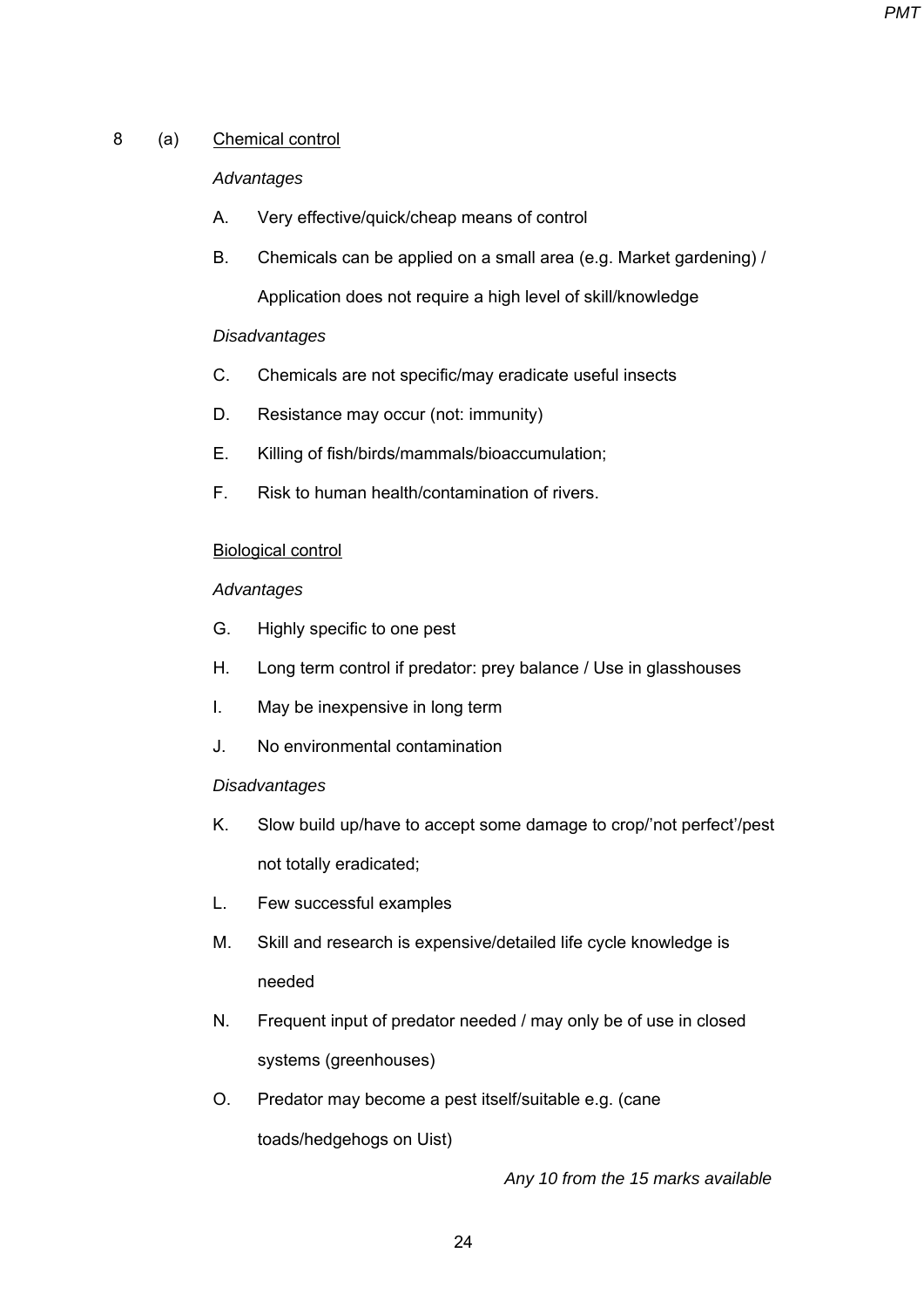# 8 (a) Chemical control

# *Advantages*

- A. Very effective/quick/cheap means of control
- B. Chemicals can be applied on a small area (e.g. Market gardening) / Application does not require a high level of skill/knowledge

# *Disadvantages*

- C. Chemicals are not specific/may eradicate useful insects
- D. Resistance may occur (not: immunity)
- E. Killing of fish/birds/mammals/bioaccumulation;
- F. Risk to human health/contamination of rivers.

## Biological control

## *Advantages*

- G. Highly specific to one pest
- H. Long term control if predator: prey balance / Use in glasshouses
- I. May be inexpensive in long term
- J. No environmental contamination

#### *Disadvantages*

- K. Slow build up/have to accept some damage to crop/'not perfect'/pest not totally eradicated;
- L. Few successful examples
- M. Skill and research is expensive/detailed life cycle knowledge is needed
- N. Frequent input of predator needed / may only be of use in closed systems (greenhouses)
- O. Predator may become a pest itself/suitable e.g. (cane toads/hedgehogs on Uist)

 *Any 10 from the 15 marks available*